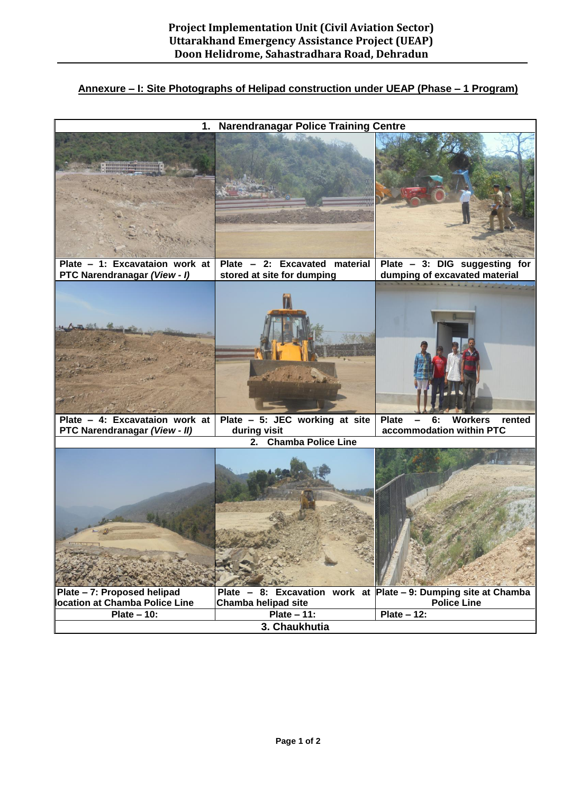## **Annexure – I: Site Photographs of Helipad construction under UEAP (Phase – 1 Program)**